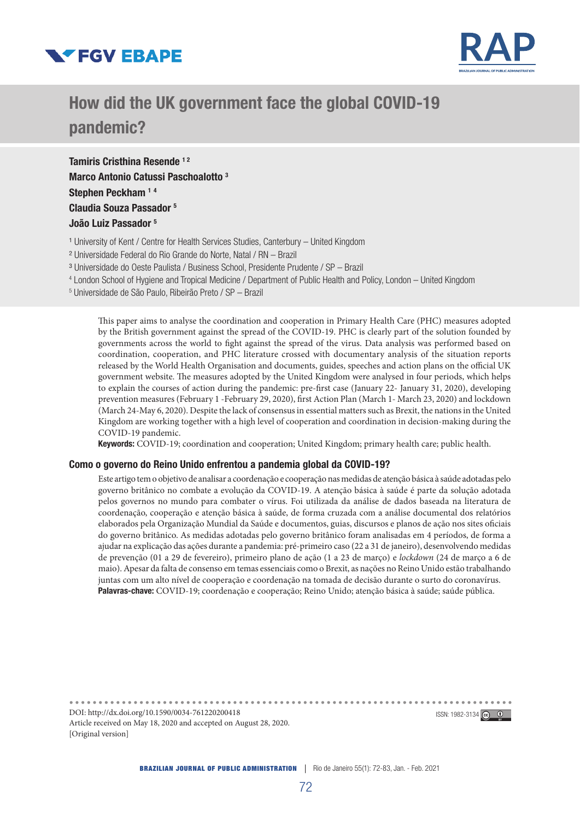



# How did the UK government face the global COVID-19 pandemic?

Tamiris Cristhina Resende 12 Marco Antonio Catussi Paschoalotto 3 Stephen Peckham<sup>14</sup> Claudia Souza Passador 5 João Luiz Passador 5

- <sup>1</sup> University of Kent / Centre for Health Services Studies, Canterbury United Kingdom
- ² Universidade Federal do Rio Grande do Norte, Natal / RN Brazil
- ³ Universidade do Oeste Paulista / Business School, Presidente Prudente / SP Brazil
- 4 London School of Hygiene and Tropical Medicine / Department of Public Health and Policy, London United Kingdom
- 5 Universidade de São Paulo, Ribeirão Preto / SP Brazil

This paper aims to analyse the coordination and cooperation in Primary Health Care (PHC) measures adopted by the British government against the spread of the COVID-19. PHC is clearly part of the solution founded by governments across the world to fight against the spread of the virus. Data analysis was performed based on coordination, cooperation, and PHC literature crossed with documentary analysis of the situation reports released by the World Health Organisation and documents, guides, speeches and action plans on the official UK government website. The measures adopted by the United Kingdom were analysed in four periods, which helps to explain the courses of action during the pandemic: pre-first case (January 22- January 31, 2020), developing prevention measures (February 1 -February 29, 2020), first Action Plan (March 1- March 23, 2020) and lockdown (March 24-May 6, 2020). Despite the lack of consensus in essential matters such as Brexit, the nations in the United Kingdom are working together with a high level of cooperation and coordination in decision-making during the COVID-19 pandemic.

Keywords: COVID-19; coordination and cooperation; United Kingdom; primary health care; public health.

#### Como o governo do Reino Unido enfrentou a pandemia global da COVID-19?

Este artigo tem o objetivo de analisar a coordenação e cooperação nas medidas de atenção básica à saúde adotadas pelo governo britânico no combate a evolução da COVID-19. A atenção básica à saúde é parte da solução adotada pelos governos no mundo para combater o vírus. Foi utilizada da análise de dados baseada na literatura de coordenação, cooperação e atenção básica à saúde, de forma cruzada com a análise documental dos relatórios elaborados pela Organização Mundial da Saúde e documentos, guias, discursos e planos de ação nos sites oficiais do governo britânico. As medidas adotadas pelo governo britânico foram analisadas em 4 períodos, de forma a ajudar na explicação das ações durante a pandemia: pré-primeiro caso (22 a 31 de janeiro), desenvolvendo medidas de prevenção (01 a 29 de fevereiro), primeiro plano de ação (1 a 23 de março) e *lockdown* (24 de março a 6 de maio). Apesar da falta de consenso em temas essenciais como o Brexit, as nações no Reino Unido estão trabalhando juntas com um alto nível de cooperação e coordenação na tomada de decisão durante o surto do coronavírus. Palavras-chave: COVID-19; coordenação e cooperação; Reino Unido; atenção básica à saúde; saúde pública.

DOI: http://dx.doi.org/10.1590/0034-761220200418 **ISSN: 1982-3134**  $\overline{6}$ Article received on May 18, 2020 and accepted on August 28, 2020. [Original version]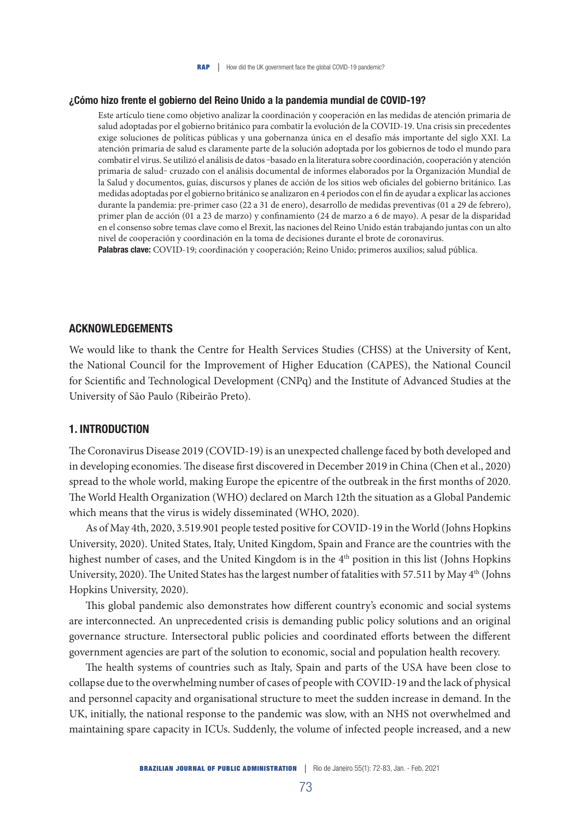#### ¿Cómo hizo frente el gobierno del Reino Unido a la pandemia mundial de COVID-19?

Este artículo tiene como objetivo analizar la coordinación y cooperación en las medidas de atención primaria de salud adoptadas por el gobierno británico para combatir la evolución de la COVID-19. Una crisis sin precedentes exige soluciones de políticas públicas y una gobernanza única en el desafío más importante del siglo XXI. La atención primaria de salud es claramente parte de la solución adoptada por los gobiernos de todo el mundo para combatir el virus. Se utilizó el análisis de datos -basado en la literatura sobre coordinación, cooperación y atención primaria de salud‒ cruzado con el análisis documental de informes elaborados por la Organización Mundial de la Salud y documentos, guías, discursos y planes de acción de los sitios web oficiales del gobierno británico. Las medidas adoptadas por el gobierno británico se analizaron en 4 periodos con el fin de ayudar a explicar las acciones durante la pandemia: pre-primer caso (22 a 31 de enero), desarrollo de medidas preventivas (01 a 29 de febrero), primer plan de acción (01 a 23 de marzo) y confinamiento (24 de marzo a 6 de mayo). A pesar de la disparidad en el consenso sobre temas clave como el Brexit, las naciones del Reino Unido están trabajando juntas con un alto nivel de cooperación y coordinación en la toma de decisiones durante el brote de coronavirus.

Palabras clave: COVID-19; coordinación y cooperación; Reino Unido; primeros auxilios; salud pública.

## ACKNOWLEDGEMENTS

We would like to thank the Centre for Health Services Studies (CHSS) at the University of Kent, the National Council for the Improvement of Higher Education (CAPES), the National Council for Scientific and Technological Development (CNPq) and the Institute of Advanced Studies at the University of São Paulo (Ribeirão Preto).

## 1. INTRODUCTION

The Coronavirus Disease 2019 (COVID-19) is an unexpected challenge faced by both developed and in developing economies. The disease first discovered in December 2019 in China (Chen et al., 2020) spread to the whole world, making Europe the epicentre of the outbreak in the first months of 2020. The World Health Organization (WHO) declared on March 12th the situation as a Global Pandemic which means that the virus is widely disseminated (WHO, 2020).

As of May 4th, 2020, 3.519.901 people tested positive for COVID-19 in the World (Johns Hopkins University, 2020). United States, Italy, United Kingdom, Spain and France are the countries with the highest number of cases, and the United Kingdom is in the 4<sup>th</sup> position in this list (Johns Hopkins University, 2020). The United States has the largest number of fatalities with 57.511 by May 4th (Johns Hopkins University, 2020).

This global pandemic also demonstrates how different country's economic and social systems are interconnected. An unprecedented crisis is demanding public policy solutions and an original governance structure. Intersectoral public policies and coordinated efforts between the different government agencies are part of the solution to economic, social and population health recovery.

The health systems of countries such as Italy, Spain and parts of the USA have been close to collapse due to the overwhelming number of cases of people with COVID-19 and the lack of physical and personnel capacity and organisational structure to meet the sudden increase in demand. In the UK, initially, the national response to the pandemic was slow, with an NHS not overwhelmed and maintaining spare capacity in ICUs. Suddenly, the volume of infected people increased, and a new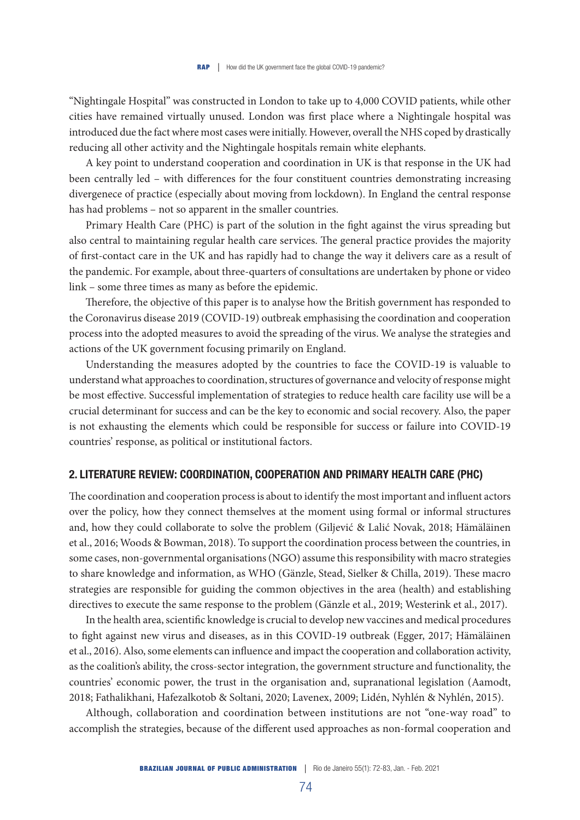"Nightingale Hospital" was constructed in London to take up to 4,000 COVID patients, while other cities have remained virtually unused. London was first place where a Nightingale hospital was introduced due the fact where most cases were initially. However, overall the NHS coped by drastically reducing all other activity and the Nightingale hospitals remain white elephants.

A key point to understand cooperation and coordination in UK is that response in the UK had been centrally led – with differences for the four constituent countries demonstrating increasing divergenece of practice (especially about moving from lockdown). In England the central response has had problems – not so apparent in the smaller countries.

Primary Health Care (PHC) is part of the solution in the fight against the virus spreading but also central to maintaining regular health care services. The general practice provides the majority of first-contact care in the UK and has rapidly had to change the way it delivers care as a result of the pandemic. For example, about three-quarters of consultations are undertaken by phone or video link – some three times as many as before the epidemic.

Therefore, the objective of this paper is to analyse how the British government has responded to the Coronavirus disease 2019 (COVID-19) outbreak emphasising the coordination and cooperation process into the adopted measures to avoid the spreading of the virus. We analyse the strategies and actions of the UK government focusing primarily on England.

Understanding the measures adopted by the countries to face the COVID-19 is valuable to understand what approaches to coordination, structures of governance and velocity of response might be most effective. Successful implementation of strategies to reduce health care facility use will be a crucial determinant for success and can be the key to economic and social recovery. Also, the paper is not exhausting the elements which could be responsible for success or failure into COVID-19 countries' response, as political or institutional factors.

# 2. LITERATURE REVIEW: COORDINATION, COOPERATION AND PRIMARY HEALTH CARE (PHC)

The coordination and cooperation process is about to identify the most important and influent actors over the policy, how they connect themselves at the moment using formal or informal structures and, how they could collaborate to solve the problem (Giljević & Lalić Novak, 2018; Hämäläinen et al., 2016; Woods & Bowman, 2018). To support the coordination process between the countries, in some cases, non-governmental organisations (NGO) assume this responsibility with macro strategies to share knowledge and information, as WHO (Gänzle, Stead, Sielker & Chilla, 2019). These macro strategies are responsible for guiding the common objectives in the area (health) and establishing directives to execute the same response to the problem (Gänzle et al., 2019; Westerink et al., 2017).

In the health area, scientific knowledge is crucial to develop new vaccines and medical procedures to fight against new virus and diseases, as in this COVID-19 outbreak (Egger, 2017; Hämäläinen et al., 2016). Also, some elements can influence and impact the cooperation and collaboration activity, as the coalition's ability, the cross-sector integration, the government structure and functionality, the countries' economic power, the trust in the organisation and, supranational legislation (Aamodt, 2018; Fathalikhani, Hafezalkotob & Soltani, 2020; Lavenex, 2009; Lidén, Nyhlén & Nyhlén, 2015).

Although, collaboration and coordination between institutions are not "one-way road" to accomplish the strategies, because of the different used approaches as non-formal cooperation and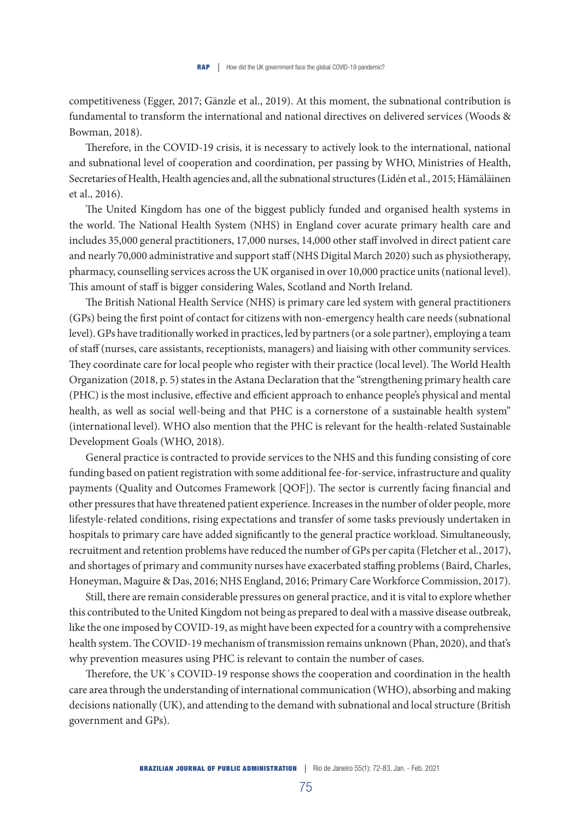competitiveness (Egger, 2017; Gänzle et al., 2019). At this moment, the subnational contribution is fundamental to transform the international and national directives on delivered services (Woods & Bowman, 2018).

Therefore, in the COVID-19 crisis, it is necessary to actively look to the international, national and subnational level of cooperation and coordination, per passing by WHO, Ministries of Health, Secretaries of Health, Health agencies and, all the subnational structures (Lidén et al., 2015; Hämäläinen et al., 2016).

The United Kingdom has one of the biggest publicly funded and organised health systems in the world. The National Health System (NHS) in England cover acurate primary health care and includes 35,000 general practitioners, 17,000 nurses, 14,000 other staff involved in direct patient care and nearly 70,000 administrative and support staff (NHS Digital March 2020) such as physiotherapy, pharmacy, counselling services across the UK organised in over 10,000 practice units (national level). This amount of staff is bigger considering Wales, Scotland and North Ireland.

The British National Health Service (NHS) is primary care led system with general practitioners (GPs) being the first point of contact for citizens with non-emergency health care needs (subnational level). GPs have traditionally worked in practices, led by partners (or a sole partner), employing a team of staff (nurses, care assistants, receptionists, managers) and liaising with other community services. They coordinate care for local people who register with their practice (local level). The World Health Organization (2018, p. 5) states in the Astana Declaration that the "strengthening primary health care (PHC) is the most inclusive, effective and efficient approach to enhance people's physical and mental health, as well as social well-being and that PHC is a cornerstone of a sustainable health system" (international level). WHO also mention that the PHC is relevant for the health-related Sustainable Development Goals (WHO, 2018).

General practice is contracted to provide services to the NHS and this funding consisting of core funding based on patient registration with some additional fee-for-service, infrastructure and quality payments (Quality and Outcomes Framework [QOF]). The sector is currently facing financial and other pressures that have threatened patient experience. Increases in the number of older people, more lifestyle-related conditions, rising expectations and transfer of some tasks previously undertaken in hospitals to primary care have added significantly to the general practice workload. Simultaneously, recruitment and retention problems have reduced the number of GPs per capita (Fletcher et al., 2017), and shortages of primary and community nurses have exacerbated staffing problems (Baird, Charles, Honeyman, Maguire & Das, 2016; NHS England, 2016; Primary Care Workforce Commission, 2017).

Still, there are remain considerable pressures on general practice, and it is vital to explore whether this contributed to the United Kingdom not being as prepared to deal with a massive disease outbreak, like the one imposed by COVID-19, as might have been expected for a country with a comprehensive health system. The COVID-19 mechanism of transmission remains unknown (Phan, 2020), and that's why prevention measures using PHC is relevant to contain the number of cases.

Therefore, the UK´s COVID-19 response shows the cooperation and coordination in the health care area through the understanding of international communication (WHO), absorbing and making decisions nationally (UK), and attending to the demand with subnational and local structure (British government and GPs).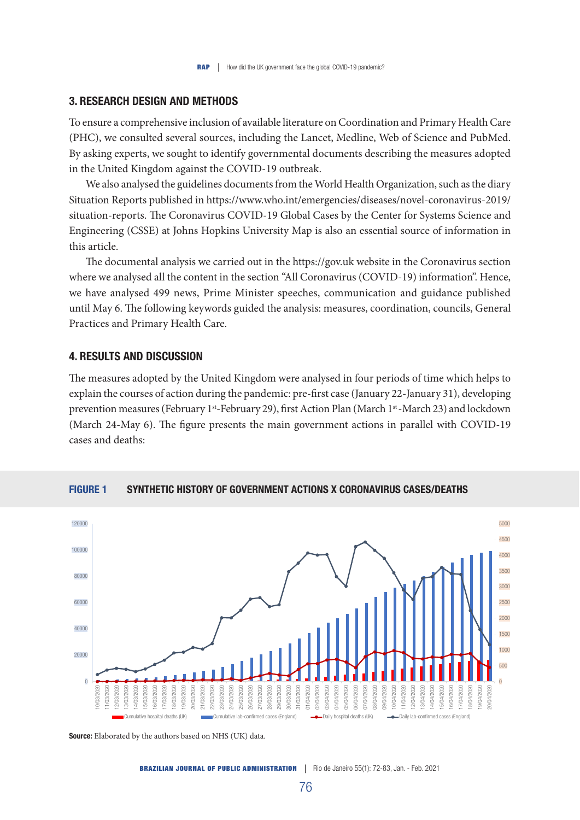# 3. RESEARCH DESIGN AND METHODS

To ensure a comprehensive inclusion of available literature on Coordination and Primary Health Care (PHC), we consulted several sources, including the Lancet, Medline, Web of Science and PubMed. By asking experts, we sought to identify governmental documents describing the measures adopted in the United Kingdom against the COVID-19 outbreak.

We also analysed the guidelines documents from the World Health Organization, such as the diary Situation Reports published in https://www.who.int/emergencies/diseases/novel-coronavirus-2019/ situation-reports. The Coronavirus COVID-19 Global Cases by the Center for Systems Science and Engineering (CSSE) at Johns Hopkins University Map is also an essential source of information in this article.

The documental analysis we carried out in the https://gov.uk website in the Coronavirus section where we analysed all the content in the section "All Coronavirus (COVID-19) information". Hence, we have analysed 499 news, Prime Minister speeches, communication and guidance published until May 6. The following keywords guided the analysis: measures, coordination, councils, General Practices and Primary Health Care.

# 4. RESULTS AND DISCUSSION

The measures adopted by the United Kingdom were analysed in four periods of time which helps to explain the courses of action during the pandemic: pre-first case (January 22-January 31), developing prevention measures (February 1<sup>st</sup>-February 29), first Action Plan (March 1<sup>st</sup>-March 23) and lockdown (March 24-May 6). The figure presents the main government actions in parallel with COVID-19 cases and deaths:



#### FIGURE 1 SYNTHETIC HISTORY OF GOVERNMENT ACTIONS X CORONAVIRUS CASES/DEATHS

Source: Elaborated by the authors based on NHS (UK) data.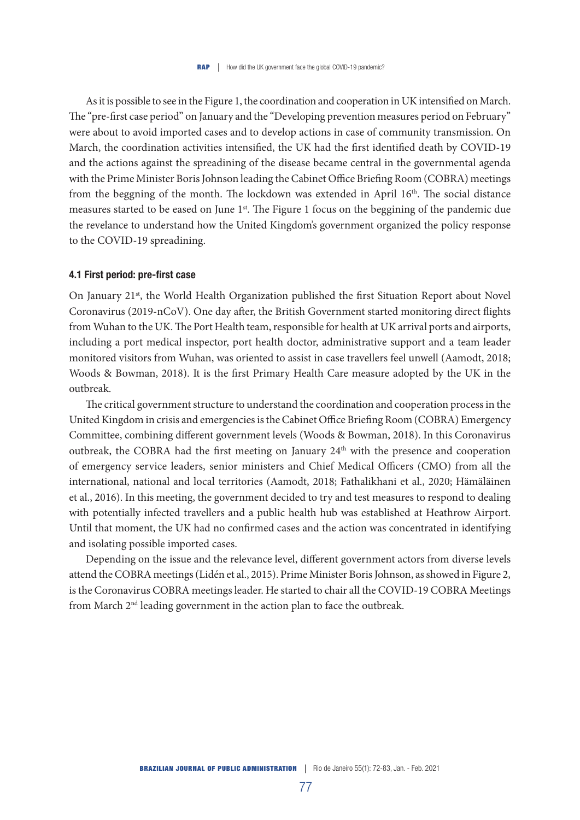As it is possible to see in the Figure 1, the coordination and cooperation in UK intensified on March. The "pre-first case period" on January and the "Developing prevention measures period on February" were about to avoid imported cases and to develop actions in case of community transmission. On March, the coordination activities intensified, the UK had the first identified death by COVID-19 and the actions against the spreadining of the disease became central in the governmental agenda with the Prime Minister Boris Johnson leading the Cabinet Office Briefing Room (COBRA) meetings from the beggning of the month. The lockdown was extended in April  $16<sup>th</sup>$ . The social distance measures started to be eased on June 1<sup>st</sup>. The Figure 1 focus on the beggining of the pandemic due the revelance to understand how the United Kingdom's government organized the policy response to the COVID-19 spreadining.

# 4.1 First period: pre-first case

On January 21<sup>st</sup>, the World Health Organization published the first Situation Report about Novel Coronavirus (2019-nCoV). One day after, the British Government started monitoring direct flights from Wuhan to the UK. The Port Health team, responsible for health at UK arrival ports and airports, including a port medical inspector, port health doctor, administrative support and a team leader monitored visitors from Wuhan, was oriented to assist in case travellers feel unwell (Aamodt, 2018; Woods & Bowman, 2018). It is the first Primary Health Care measure adopted by the UK in the outbreak.

The critical government structure to understand the coordination and cooperation process in the United Kingdom in crisis and emergencies is the Cabinet Office Briefing Room (COBRA) Emergency Committee, combining different government levels (Woods & Bowman, 2018). In this Coronavirus outbreak, the COBRA had the first meeting on January 24<sup>th</sup> with the presence and cooperation of emergency service leaders, senior ministers and Chief Medical Officers (CMO) from all the international, national and local territories (Aamodt, 2018; Fathalikhani et al., 2020; Hämäläinen et al., 2016). In this meeting, the government decided to try and test measures to respond to dealing with potentially infected travellers and a public health hub was established at Heathrow Airport. Until that moment, the UK had no confirmed cases and the action was concentrated in identifying and isolating possible imported cases.

Depending on the issue and the relevance level, different government actors from diverse levels attend the COBRA meetings (Lidén et al., 2015). Prime Minister Boris Johnson, as showed in Figure 2, is the Coronavirus COBRA meetings leader. He started to chair all the COVID-19 COBRA Meetings from March 2nd leading government in the action plan to face the outbreak.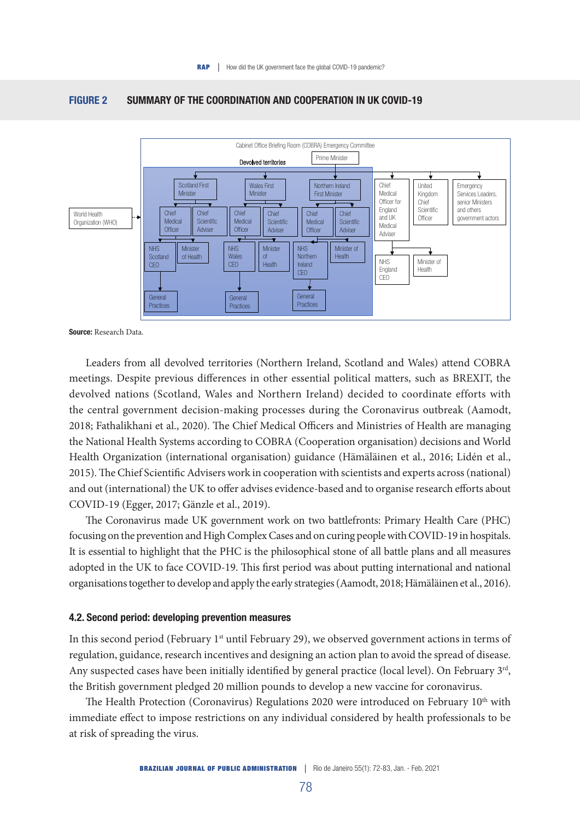

# FIGURE 2 SUMMARY OF THE COORDINATION AND COOPERATION IN UK COVID-19

Leaders from all devolved territories (Northern Ireland, Scotland and Wales) attend COBRA meetings. Despite previous differences in other essential political matters, such as BREXIT, the devolved nations (Scotland, Wales and Northern Ireland) decided to coordinate efforts with the central government decision-making processes during the Coronavirus outbreak (Aamodt, 2018; Fathalikhani et al., 2020). The Chief Medical Officers and Ministries of Health are managing the National Health Systems according to COBRA (Cooperation organisation) decisions and World Health Organization (international organisation) guidance (Hämäläinen et al., 2016; Lidén et al., 2015). The Chief Scientific Advisers work in cooperation with scientists and experts across (national) and out (international) the UK to offer advises evidence-based and to organise research efforts about COVID-19 (Egger, 2017; Gänzle et al., 2019).

The Coronavirus made UK government work on two battlefronts: Primary Health Care (PHC) focusing on the prevention and High Complex Cases and on curing people with COVID-19 in hospitals. It is essential to highlight that the PHC is the philosophical stone of all battle plans and all measures adopted in the UK to face COVID-19. This first period was about putting international and national organisations together to develop and apply the early strategies (Aamodt, 2018; Hämäläinen et al., 2016).

## 4.2. Second period: developing prevention measures

In this second period (February 1<sup>st</sup> until February 29), we observed government actions in terms of regulation, guidance, research incentives and designing an action plan to avoid the spread of disease. Any suspected cases have been initially identified by general practice (local level). On February 3<sup>rd</sup>, the British government pledged 20 million pounds to develop a new vaccine for coronavirus.

The Health Protection (Coronavirus) Regulations 2020 were introduced on February 10<sup>th</sup> with immediate effect to impose restrictions on any individual considered by health professionals to be at risk of spreading the virus.

Source: Research Data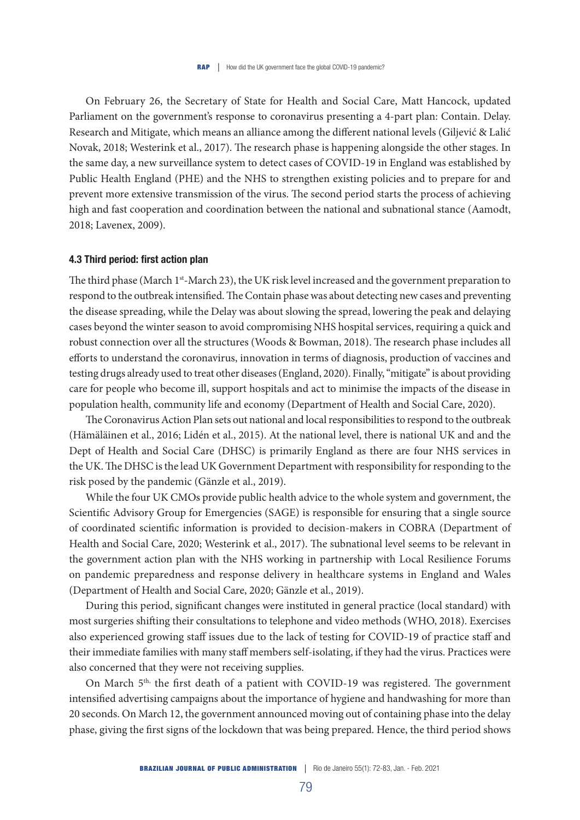On February 26, the Secretary of State for Health and Social Care, Matt Hancock, updated Parliament on the government's response to coronavirus presenting a 4-part plan: Contain. Delay. Research and Mitigate, which means an alliance among the different national levels (Giljević & Lalić Novak, 2018; Westerink et al., 2017). The research phase is happening alongside the other stages. In the same day, a new surveillance system to detect cases of COVID-19 in England was established by Public Health England (PHE) and the NHS to strengthen existing policies and to prepare for and prevent more extensive transmission of the virus. The second period starts the process of achieving high and fast cooperation and coordination between the national and subnational stance (Aamodt, 2018; Lavenex, 2009).

#### 4.3 Third period: first action plan

The third phase (March 1<sup>st</sup>-March 23), the UK risk level increased and the government preparation to respond to the outbreak intensified. The Contain phase was about detecting new cases and preventing the disease spreading, while the Delay was about slowing the spread, lowering the peak and delaying cases beyond the winter season to avoid compromising NHS hospital services, requiring a quick and robust connection over all the structures (Woods & Bowman, 2018). The research phase includes all efforts to understand the coronavirus, innovation in terms of diagnosis, production of vaccines and testing drugs already used to treat other diseases (England, 2020). Finally, "mitigate" is about providing care for people who become ill, support hospitals and act to minimise the impacts of the disease in population health, community life and economy (Department of Health and Social Care, 2020).

The Coronavirus Action Plan sets out national and local responsibilities to respond to the outbreak (Hämäläinen et al., 2016; Lidén et al., 2015). At the national level, there is national UK and and the Dept of Health and Social Care (DHSC) is primarily England as there are four NHS services in the UK. The DHSC is the lead UK Government Department with responsibility for responding to the risk posed by the pandemic (Gänzle et al., 2019).

While the four UK CMOs provide public health advice to the whole system and government, the Scientific Advisory Group for Emergencies (SAGE) is responsible for ensuring that a single source of coordinated scientific information is provided to decision-makers in COBRA (Department of Health and Social Care, 2020; Westerink et al., 2017). The subnational level seems to be relevant in the government action plan with the NHS working in partnership with Local Resilience Forums on pandemic preparedness and response delivery in healthcare systems in England and Wales (Department of Health and Social Care, 2020; Gänzle et al., 2019).

During this period, significant changes were instituted in general practice (local standard) with most surgeries shifting their consultations to telephone and video methods (WHO, 2018). Exercises also experienced growing staff issues due to the lack of testing for COVID-19 of practice staff and their immediate families with many staff members self-isolating, if they had the virus. Practices were also concerned that they were not receiving supplies.

On March 5<sup>th,</sup> the first death of a patient with COVID-19 was registered. The government intensified advertising campaigns about the importance of hygiene and handwashing for more than 20 seconds. On March 12, the government announced moving out of containing phase into the delay phase, giving the first signs of the lockdown that was being prepared. Hence, the third period shows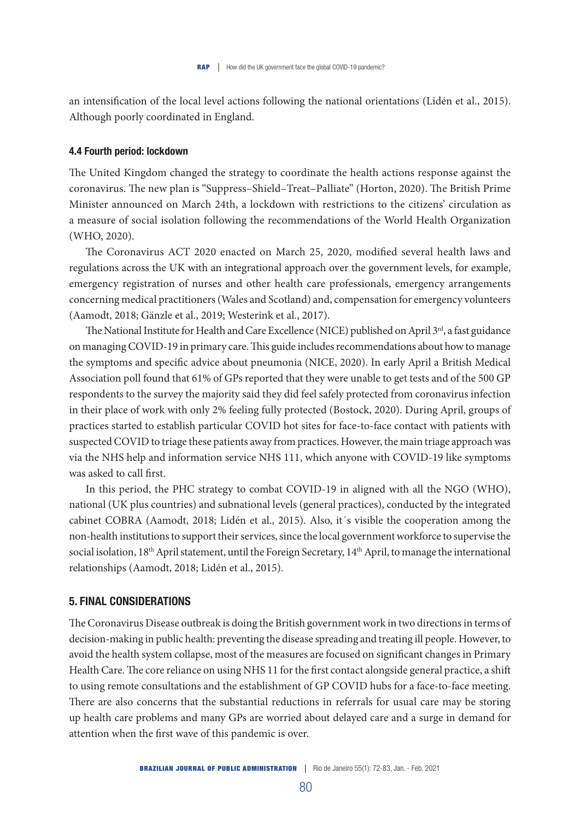an intensification of the local level actions following the national orientations (Lidén et al., 2015). Although poorly coordinated in England.

#### 4.4 Fourth period: lockdown

The United Kingdom changed the strategy to coordinate the health actions response against the coronavirus. The new plan is "Suppress–Shield–Treat–Palliate" (Horton, 2020). The British Prime Minister announced on March 24th, a lockdown with restrictions to the citizens' circulation as a measure of social isolation following the recommendations of the World Health Organization (WHO, 2020).

The Coronavirus ACT 2020 enacted on March 25, 2020, modified several health laws and regulations across the UK with an integrational approach over the government levels, for example, emergency registration of nurses and other health care professionals, emergency arrangements concerning medical practitioners (Wales and Scotland) and, compensation for emergency volunteers (Aamodt, 2018; Gänzle et al., 2019; Westerink et al., 2017).

The National Institute for Health and Care Excellence (NICE) published on April  $3<sup>rd</sup>$ , a fast guidance on managing COVID-19 in primary care. This guide includes recommendations about how to manage the symptoms and specific advice about pneumonia (NICE, 2020). In early April a British Medical Association poll found that 61% of GPs reported that they were unable to get tests and of the 500 GP respondents to the survey the majority said they did feel safely protected from coronavirus infection in their place of work with only 2% feeling fully protected (Bostock, 2020). During April, groups of practices started to establish particular COVID hot sites for face-to-face contact with patients with suspected COVID to triage these patients away from practices. However, the main triage approach was via the NHS help and information service NHS 111, which anyone with COVID-19 like symptoms was asked to call first.

In this period, the PHC strategy to combat COVID-19 in aligned with all the NGO (WHO), national (UK plus countries) and subnational levels (general practices), conducted by the integrated cabinet COBRA (Aamodt, 2018; Lidén et al., 2015). Also, it´s visible the cooperation among the non-health institutions to support their services, since the local government workforce to supervise the social isolation, 18<sup>th</sup> April statement, until the Foreign Secretary, 14<sup>th</sup> April, to manage the international relationships (Aamodt, 2018; Lidén et al., 2015).

# 5. FINAL CONSIDERATIONS

The Coronavirus Disease outbreak is doing the British government work in two directions in terms of decision-making in public health: preventing the disease spreading and treating ill people. However, to avoid the health system collapse, most of the measures are focused on significant changes in Primary Health Care. The core reliance on using NHS 11 for the first contact alongside general practice, a shift to using remote consultations and the establishment of GP COVID hubs for a face-to-face meeting. There are also concerns that the substantial reductions in referrals for usual care may be storing up health care problems and many GPs are worried about delayed care and a surge in demand for attention when the first wave of this pandemic is over.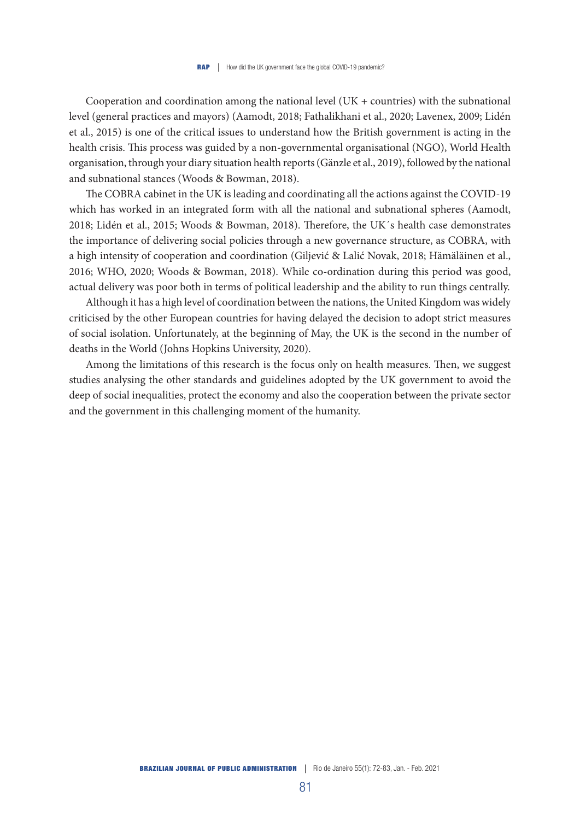Cooperation and coordination among the national level  $(UK + countries)$  with the subnational level (general practices and mayors) (Aamodt, 2018; Fathalikhani et al., 2020; Lavenex, 2009; Lidén et al., 2015) is one of the critical issues to understand how the British government is acting in the health crisis. This process was guided by a non-governmental organisational (NGO), World Health organisation, through your diary situation health reports (Gänzle et al., 2019), followed by the national and subnational stances (Woods & Bowman, 2018).

The COBRA cabinet in the UK is leading and coordinating all the actions against the COVID-19 which has worked in an integrated form with all the national and subnational spheres (Aamodt, 2018; Lidén et al., 2015; Woods & Bowman, 2018). Therefore, the UK´s health case demonstrates the importance of delivering social policies through a new governance structure, as COBRA, with a high intensity of cooperation and coordination (Giljević & Lalić Novak, 2018; Hämäläinen et al., 2016; WHO, 2020; Woods & Bowman, 2018). While co-ordination during this period was good, actual delivery was poor both in terms of political leadership and the ability to run things centrally.

Although it has a high level of coordination between the nations, the United Kingdom was widely criticised by the other European countries for having delayed the decision to adopt strict measures of social isolation. Unfortunately, at the beginning of May, the UK is the second in the number of deaths in the World (Johns Hopkins University, 2020).

Among the limitations of this research is the focus only on health measures. Then, we suggest studies analysing the other standards and guidelines adopted by the UK government to avoid the deep of social inequalities, protect the economy and also the cooperation between the private sector and the government in this challenging moment of the humanity.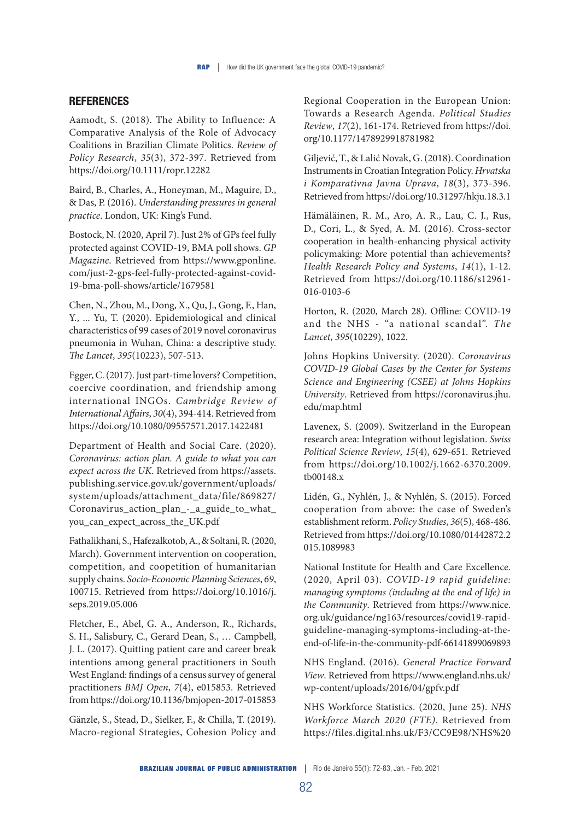# **REFERENCES**

Aamodt, S. (2018). The Ability to Influence: A Comparative Analysis of the Role of Advocacy Coalitions in Brazilian Climate Politics. *Review of Policy Research*, *35*(3), 372-397. Retrieved from https://doi.org/10.1111/ropr.12282

Baird, B., Charles, A., Honeyman, M., Maguire, D., & Das, P. (2016). *Understanding pressures in general practice*. London, UK: King's Fund.

Bostock, N. (2020, April 7). Just 2% of GPs feel fully protected against COVID-19, BMA poll shows. *GP Magazine*. Retrieved from https://www.gponline. com/just-2-gps-feel-fully-protected-against-covid-19-bma-poll-shows/article/1679581

Chen, N., Zhou, M., Dong, X., Qu, J., Gong, F., Han, Y., ... Yu, T. (2020). Epidemiological and clinical characteristics of 99 cases of 2019 novel coronavirus pneumonia in Wuhan, China: a descriptive study. *The Lancet*, *395*(10223), 507-513.

Egger, C. (2017). Just part-time lovers? Competition, coercive coordination, and friendship among international INGOs. *Cambridge Review of International Affairs*, *30*(4), 394-414. Retrieved from https://doi.org/10.1080/09557571.2017.1422481

Department of Health and Social Care. (2020). *Coronavirus: action plan. A guide to what you can expect across the UK*. Retrieved from https://assets. publishing.service.gov.uk/government/uploads/ system/uploads/attachment\_data/file/869827/ Coronavirus\_action\_plan\_-\_a\_guide\_to\_what\_ you\_can\_expect\_across\_the\_UK.pdf

Fathalikhani, S., Hafezalkotob, A., & Soltani, R. (2020, March). Government intervention on cooperation, competition, and coopetition of humanitarian supply chains. *Socio-Economic Planning Sciences*, *69*, 100715. Retrieved from https://doi.org/10.1016/j. seps.2019.05.006

Fletcher, E., Abel, G. A., Anderson, R., Richards, S. H., Salisbury, C., Gerard Dean, S., … Campbell, J. L. (2017). Quitting patient care and career break intentions among general practitioners in South West England: findings of a census survey of general practitioners *BMJ Open*, *7*(4), e015853. Retrieved from https://doi.org/10.1136/bmjopen-2017-015853

Gänzle, S., Stead, D., Sielker, F., & Chilla, T. (2019). Macro-regional Strategies, Cohesion Policy and Regional Cooperation in the European Union: Towards a Research Agenda. *Political Studies Review*, *17*(2), 161-174. Retrieved from https://doi. org/10.1177/1478929918781982

Giljević, T., & Lalić Novak, G. (2018). Coordination Instruments in Croatian Integration Policy. *Hrvatska i Komparativna Javna Uprava*, *18*(3), 373-396. Retrieved from https://doi.org/10.31297/hkju.18.3.1

Hämäläinen, R. M., Aro, A. R., Lau, C. J., Rus, D., Cori, L., & Syed, A. M. (2016). Cross-sector cooperation in health-enhancing physical activity policymaking: More potential than achievements? *Health Research Policy and Systems*, *14*(1), 1-12. Retrieved from https://doi.org/10.1186/s12961- 016-0103-6

Horton, R. (2020, March 28). Offline: COVID-19 and the NHS - "a national scandal". *The Lancet*, *395*(10229), 1022.

Johns Hopkins University. (2020). *Coronavirus COVID-19 Global Cases by the Center for Systems Science and Engineering (CSEE) at Johns Hopkins University*. Retrieved from https://coronavirus.jhu. edu/map.html

Lavenex, S. (2009). Switzerland in the European research area: Integration without legislation. *Swiss Political Science Review*, *15*(4), 629-651. Retrieved from https://doi.org/10.1002/j.1662-6370.2009. tb00148.x

Lidén, G., Nyhlén, J., & Nyhlén, S. (2015). Forced cooperation from above: the case of Sweden's establishment reform. *Policy Studies*, *36*(5), 468-486. Retrieved from https://doi.org/10.1080/01442872.2 015.1089983

National Institute for Health and Care Excellence. (2020, April 03). *COVID-19 rapid guideline: managing symptoms (including at the end of life) in the Community*. Retrieved from https://www.nice. org.uk/guidance/ng163/resources/covid19-rapidguideline-managing-symptoms-including-at-theend-of-life-in-the-community-pdf-66141899069893

NHS England. (2016). *General Practice Forward View*. Retrieved from https://www.england.nhs.uk/ wp-content/uploads/2016/04/gpfv.pdf

NHS Workforce Statistics. (2020, June 25). *NHS Workforce March 2020 (FTE)*. Retrieved from https://files.digital.nhs.uk/F3/CC9E98/NHS%20